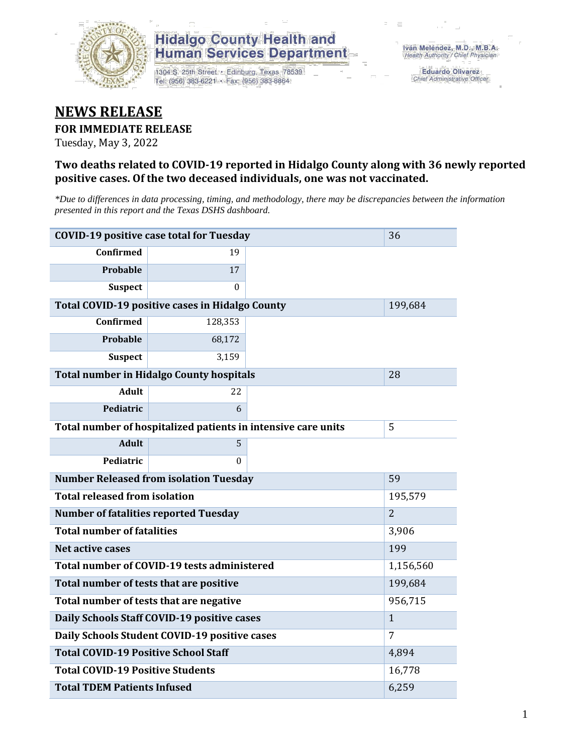

## **Hidalgo County Health and Human Services Department**

1304 S. 25th Street · Edinburg, Texas 78539 Tel: (956) 383-6221 · Fax: (956) 383-8864

**Eduardo Olivarez** Chief Administrative Officer

# **NEWS RELEASE**

#### **FOR IMMEDIATE RELEASE**

Tuesday, May 3, 2022

#### **Two deaths related to COVID-19 reported in Hidalgo County along with 36 newly reported positive cases. Of the two deceased individuals, one was not vaccinated.**

*\*Due to differences in data processing, timing, and methodology, there may be discrepancies between the information presented in this report and the Texas DSHS dashboard.*

| <b>COVID-19 positive case total for Tuesday</b> | 36                                                            |                |  |
|-------------------------------------------------|---------------------------------------------------------------|----------------|--|
| <b>Confirmed</b>                                | 19                                                            |                |  |
| Probable                                        | 17                                                            |                |  |
| <b>Suspect</b>                                  | $\Omega$                                                      |                |  |
| Total COVID-19 positive cases in Hidalgo County |                                                               | 199,684        |  |
| <b>Confirmed</b>                                | 128,353                                                       |                |  |
| Probable                                        | 68,172                                                        |                |  |
| <b>Suspect</b>                                  | 3,159                                                         |                |  |
| <b>Total number in Hidalgo County hospitals</b> |                                                               | 28             |  |
| <b>Adult</b>                                    | 22                                                            |                |  |
| Pediatric                                       | 6                                                             |                |  |
|                                                 | Total number of hospitalized patients in intensive care units | 5              |  |
| <b>Adult</b>                                    | 5                                                             |                |  |
| Pediatric                                       | 0                                                             |                |  |
| <b>Number Released from isolation Tuesday</b>   |                                                               | 59             |  |
| <b>Total released from isolation</b>            |                                                               | 195,579        |  |
| <b>Number of fatalities reported Tuesday</b>    |                                                               | $\overline{2}$ |  |
| <b>Total number of fatalities</b>               |                                                               | 3,906          |  |
| Net active cases                                | 199                                                           |                |  |
| Total number of COVID-19 tests administered     | 1,156,560                                                     |                |  |
| Total number of tests that are positive         | 199,684                                                       |                |  |
| Total number of tests that are negative         | 956,715                                                       |                |  |
| Daily Schools Staff COVID-19 positive cases     |                                                               | $\mathbf{1}$   |  |
| Daily Schools Student COVID-19 positive cases   | 7                                                             |                |  |
| <b>Total COVID-19 Positive School Staff</b>     | 4,894                                                         |                |  |
| <b>Total COVID-19 Positive Students</b>         | 16,778                                                        |                |  |
| <b>Total TDEM Patients Infused</b>              |                                                               | 6,259          |  |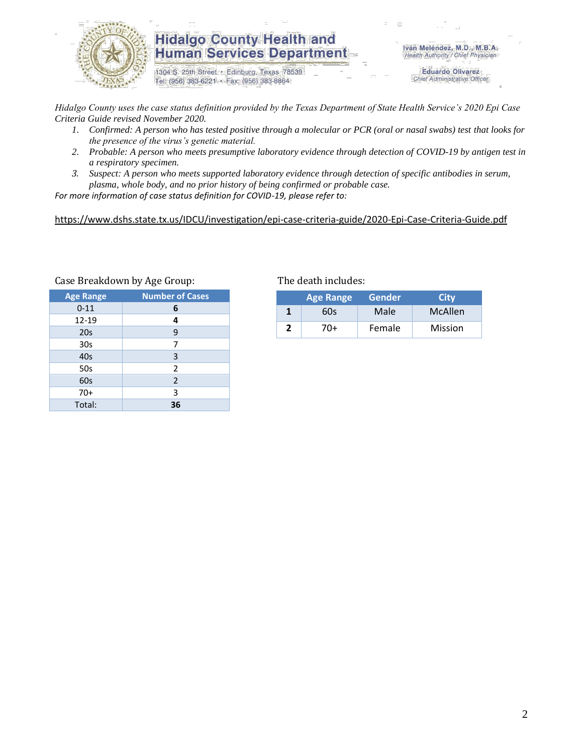

### **Hidalgo County Health and Human Services Department**

1304 S. 25th Street · Edinburg, Texas 78539 Tel: (956) 383-6221 · Fax: (956) 383-8864

Iván Meléndez, M.D., M.B.A. Health Authority / Chief Physician

> **Eduardo Olivarez** Chief Administrative Officer

*Hidalgo County uses the case status definition provided by the Texas Department of State Health Service's 2020 Epi Case Criteria Guide revised November 2020.*

- *1. Confirmed: A person who has tested positive through a molecular or PCR (oral or nasal swabs) test that looks for the presence of the virus's genetic material.*
- *2. Probable: A person who meets presumptive laboratory evidence through detection of COVID-19 by antigen test in a respiratory specimen.*
- *3. Suspect: A person who meets supported laboratory evidence through detection of specific antibodies in serum, plasma, whole body, and no prior history of being confirmed or probable case.*

*For more information of case status definition for COVID-19, please refer to:*

<https://www.dshs.state.tx.us/IDCU/investigation/epi-case-criteria-guide/2020-Epi-Case-Criteria-Guide.pdf>

| <b>Age Range</b> | <b>Number of Cases</b> |  |  |
|------------------|------------------------|--|--|
| $0 - 11$         | 6                      |  |  |
| 12-19            | 4                      |  |  |
| 20s              | 9                      |  |  |
| 30 <sub>s</sub>  | 7                      |  |  |
| 40s              | 3                      |  |  |
| 50s              | 2                      |  |  |
| 60s              | 2                      |  |  |
| $70+$            | 3                      |  |  |
| Total:           | 36                     |  |  |

Case Breakdown by Age Group: The death includes:

| <b>Age Range</b> |     | Gender | <b>City</b>    |  |
|------------------|-----|--------|----------------|--|
|                  | 60s | Male   | McAllen        |  |
|                  | 70+ | Female | <b>Mission</b> |  |